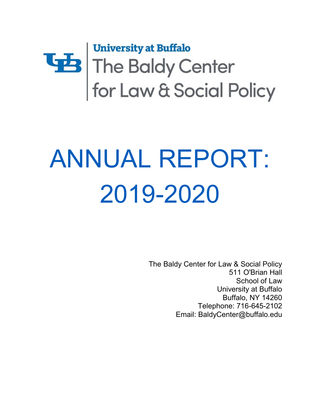

# ANNUAL REPORT: 2019-2020

The Baldy Center for Law & Social Policy 511 O'Brian Hall School of Law University at Buffalo Buffalo, NY 14260 Telephone: 716-645-2102 Email: [BaldyCenter@buffalo.edu](mailto:BaldyCenter@buffalo.edu)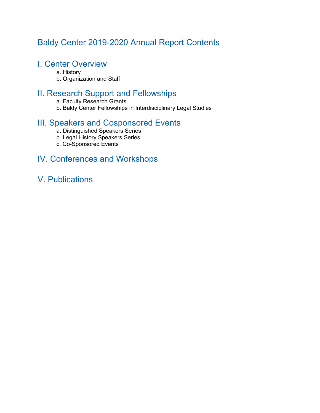# Baldy Center 2019-2020 Annual Report Contents

## I. Center Overview

- a. History
- b. Organization and Staff

# II. Research Support and Fellowships

- a. Faculty Research Grants
- b. Baldy Center Fellowships in Interdisciplinary Legal Studies

## III. Speakers and Cosponsored Events

- a. Distinguished Speakers Series
- b. Legal History Speakers Series
- c. Co-Sponsored Events

## IV. Conferences and Workshops

V. Publications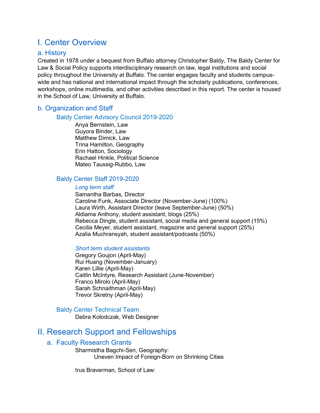# I. Center Overview

#### a. History

 Created in 1978 under a bequest from Buffalo attorney Christopher Baldy, The Baldy Center for policy throughout the University at Buffalo. The center engages faculty and students campus-Law & Social Policy supports interdisciplinary research on law, legal institutions and social wide and has national and international impact through the scholarly publications, conferences, workshops, online multimedia, and other activities described in this report. The center is housed in the School of Law, University at Buffalo.

#### b. Organization and Staff

#### Baldy Center Advisory Council 2019-2020

Anya Bernstein, Law Guyora Binder, Law Matthew Dimick, Law Trina Hamilton, Geography Erin Hatton, Sociology Rachael Hinkle, Political Science Mateo Taussig-Rubbo, Law

#### Baldy Center Staff 2019-2020

#### *Long term staff*

 Caroline Funk, Associate Director (November-June) (100%) Rebecca Dingle, student assistant, social media and general support (15%) Samantha Barbas, Director Laura Wirth, Assistant Director (leave September-June) (50%) Aldiama Anthony, student assistant, blogs (25%) Cecilia Meyer, student assistant, magazine and general support (25%) Azalia Muchransyah, student assistant/podcasts (50%)

#### *Short term student assistants*

 Karen Lillie (April-May) Gregory Goujon (April-May) Rui Huang (November-January) Caitlin McIntyre, Research Assistant (June-November) Franco Mirolo (April-May) Sarah Schnaithman (April-May) Trevor Skretny (April-May)

#### Baldy Center Technical Team

Debra Kolodczak, Web Designer

## II. Research Support and Fellowships

#### a. Faculty Research Grants

Sharmistha Bagchi-Sen, Geography: Uneven Impact of Foreign-Born on Shrinking Cities

Irus Braverman, School of Law: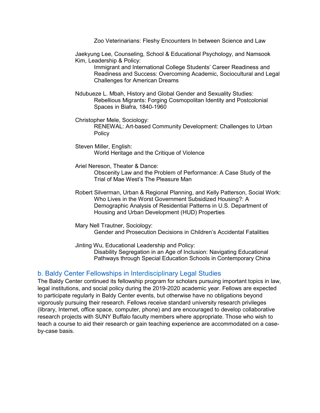Zoo Veterinarians: Fleshy Encounters In between Science and Law

Jaekyung Lee, Counseling, School & Educational Psychology, and Namsook Kim, Leadership & Policy:

Immigrant and International College Students' Career Readiness and Readiness and Success: Overcoming Academic, Sociocultural and Legal Challenges for American Dreams

- Ndubueze L. Mbah, History and Global Gender and Sexuality Studies: Rebellious Migrants: Forging Cosmopolitan Identity and Postcolonial Spaces in Biafra, 1840-1960
- RENEWAL: Art-based Community Development: Challenges to Urban Christopher Mele, Sociology: Policy
- Steven Miller, English: World Heritage and the Critique of Violence
- Trial of Mae West's The Pleasure Man Ariel Nereson, Theater & Dance: Obscenity Law and the Problem of Performance: A Case Study of the
- Who Lives in the Worst Government Subsidized Housing?: A Robert Silverman, Urban & Regional Planning, and Kelly Patterson, Social Work: Demographic Analysis of Residential Patterns in U.S. Department of Housing and Urban Development (HUD) Properties
- Mary Nell Trautner, Sociology: Gender and Prosecution Decisions in Children's Accidental Fatalities
- Jinting Wu, Educational Leadership and Policy: Disability Segregation in an Age of Inclusion: Navigating Educational

### Pathways through Special Education Schools in Contemporary China

#### b. Baldy Center Fellowships in Interdisciplinary Legal Studies

The Baldy Center continued its fellowship program for scholars pursuing important topics in law, legal institutions, and social policy during the 2019-2020 academic year. Fellows are expected to participate regularly in Baldy Center events, but otherwise have no obligations beyond vigorously pursuing their research. Fellows receive standard university research privileges (library, Internet, office space, computer, phone) and are encouraged to develop collaborative research projects with SUNY Buffalo faculty members where appropriate. Those who wish to teach a course to aid their research or gain teaching experience are accommodated on a caseby-case basis.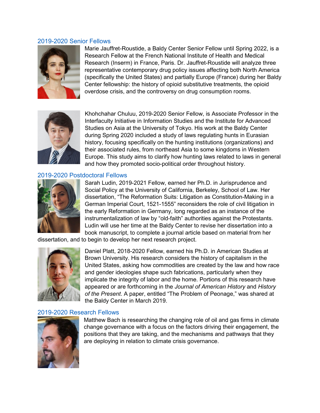#### 2019-2020 Senior Fellows



 Research (Inserm) in France, Paris. Dr. Jauffret-Roustide will analyze three Marie Jauffret-Roustide, a Baldy Center Senior Fellow until Spring 2022, is a Research Fellow at the French National Institute of Health and Medical representative contemporary drug policy issues affecting both North America (specifically the United States) and partially Europe (France) during her Baldy Center fellowship: the history of opioid substitutive treatments, the opioid overdose crisis, and the controversy on drug consumption rooms.



 their associated rules, from northeast Asia to some kingdoms in Western Khohchahar Chuluu, 2019-2020 Senior Fellow, is Associate Professor in the Interfaculty Initiative in Information Studies and the Institute for Advanced Studies on Asia at the University of Tokyo. His work at the Baldy Center during Spring 2020 included a study of laws regulating hunts in Eurasian history, focusing specifically on the hunting institutions (organizations) and Europe. This study aims to clarify how hunting laws related to laws in general and how they promoted socio-political order throughout history.

#### 2019-2020 Postdoctoral Fellows



 the early Reformation in Germany, long regarded as an instance of the book manuscript, to complete a journal article based on material from her Sarah Ludin, 2019-2021 Fellow, earned her Ph.D. in Jurisprudence and Social Policy at the University of California, Berkeley, School of Law. Her dissertation, "The Reformation Suits: Litigation as Constitution-Making in a German Imperial Court, 1521-1555" reconsiders the role of civil litigation in instrumentalization of law by "old-faith" authorities against the Protestants. Ludin will use her time at the Baldy Center to revise her dissertation into a

dissertation, and to begin to develop her next research project.



Daniel Platt, 2018-2020 Fellow, earned his Ph.D. in American Studies at Brown University. His research considers the history of capitalism in the United States, asking how commodities are created by the law and how race and gender ideologies shape such fabrications, particularly when they implicate the integrity of labor and the home. Portions of this research have appeared or are forthcoming in the *Journal of American History* and *History of the Present*. A paper, entitled "The Problem of Peonage," was shared at the Baldy Center in March 2019.

#### 2019-2020 Research Fellows



 positions that they are taking, and the mechanisms and pathways that they Matthew Bach is researching the changing role of oil and gas firms in climate change governance with a focus on the factors driving their engagement, the are deploying in relation to climate crisis governance.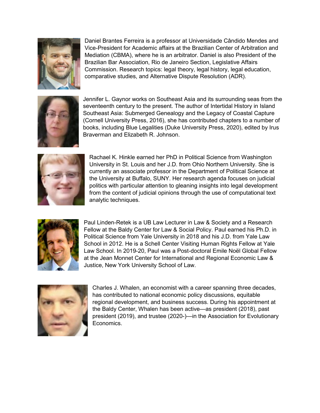

comparative studies, and Alternative Dispute Resolution (ADR). Daniel Brantes Ferreira is a professor at Universidade Cândido Mendes and Vice-President for Academic affairs at the Brazilian Center of Arbitration and Mediation (CBMA), where he is an arbitrator. Daniel is also President of the Brazilian Bar Association, Rio de Janeiro Section, Legislative Affairs Commission. Research topics: legal theory, legal history, legal education,



 comparative studies, and Alternative Dispute Resolution (ADR). Jennifer L. Gaynor works on Southeast Asia and its surrounding seas from the seventeenth century to the present. The author of Intertidal History in Island Southeast Asia: Submerged Genealogy and the Legacy of Coastal Capture (Cornell University Press, 2016), she has contributed chapters to a number of books, including Blue Legalities (Duke University Press, 2020), edited by Irus Braverman and Elizabeth R. Johnson.



 University in St. Louis and her J.D. from Ohio Northern University. She is the University at Buffalo, SUNY. Her research agenda focuses on judicial Rachael K. Hinkle earned her PhD in Political Science from Washington currently an associate professor in the Department of Political Science at politics with particular attention to gleaning insights into legal development from the content of judicial opinions through the use of computational text analytic techniques.



Paul Linden-Retek is a UB Law Lecturer in Law & Society and a Research Fellow at the Baldy Center for Law & Social Policy. Paul earned his Ph.D. in Political Science from Yale University in 2018 and his J.D. from Yale Law School in 2012. He is a Schell Center Visiting Human Rights Fellow at Yale Law School. In 2019-20, Paul was a Post-doctoral Emile Noël Global Fellow at the Jean Monnet Center for International and Regional Economic Law & Justice, New York University School of Law.



 Charles J. Whalen, an economist with a career spanning three decades, has contributed to national economic policy discussions, equitable regional development, and business success. During his appointment at the Baldy Center, Whalen has been active—as president (2018), past president (2019), and trustee (2020-)—in the Association for Evolutionary Economics.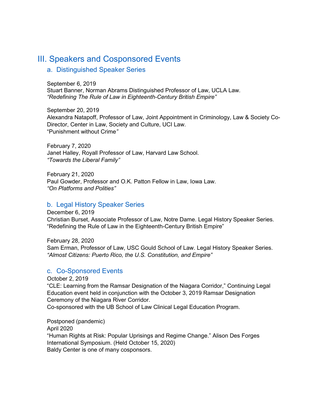## III. Speakers and Cosponsored Events

#### a. Distinguished Speaker Series

 *"Redefining The Rule of Law in Eighteenth-Century British Empire"*  September 6, 2019 Stuart Banner, Norman Abrams Distinguished Professor of Law, UCLA Law.

September 20, 2019 Alexandra Natapoff, Professor of Law, Joint Appointment in Criminology, Law & Society Co-Director, Center in Law, Society and Culture, UCI Law. "Punishment without Crime*"* 

February 7, 2020 Janet Halley, Royall Professor of Law, Harvard Law School. *"Towards the Liberal Family"* 

February 21, 2020 Paul Gowder, Professor and O.K. Patton Fellow in Law, Iowa Law. *"On Platforms and Polities"* 

#### b. Legal History Speaker Series

December 6, 2019 Christian Burset, Associate Professor of Law, Notre Dame. Legal History Speaker Series. "Redefining the Rule of Law in the Eighteenth-Century British Empire"

February 28, 2020 Sam Erman, Professor of Law, USC Gould School of Law. Legal History Speaker Series. *"Almost Citizens: Puerto Rico, the U.S. Constitution, and Empire"* 

#### c. Co-Sponsored Events

October 2, 2019 "CLE: Learning from the Ramsar Designation of the Niagara Corridor," Continuing Legal Education event held in conjunction with the October 3, 2019 Ramsar Designation Ceremony of the Niagara River Corridor. Co-sponsored with the UB School of Law Clinical Legal Education Program.

Postponed (pandemic) April 2020 "Human Rights at Risk: Popular Uprisings and Regime Change." Alison Des Forges International Symposium. (Held October 15, 2020) Baldy Center is one of many cosponsors.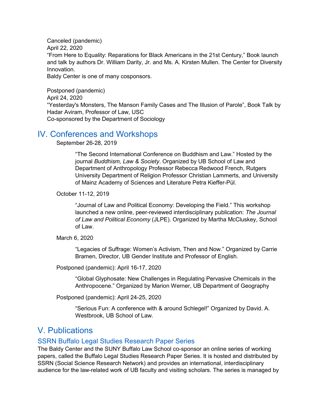and talk by authors Dr. William Darity, Jr. and Ms. A. Kirsten Mullen. The Center for Diversity Canceled (pandemic) April 22, 2020 "From Here to Equality: Reparations for Black Americans in the 21st Century," Book launch Innovation. Baldy Center is one of many cosponsors.

 "Yesterday's Monsters, The Manson Family Cases and The Illusion of Parole", Book Talk by Postponed (pandemic) April 24, 2020 Hadar Aviram, Professor of Law, USC Co-sponsored by the Department of Sociology

## IV. Conferences and Workshops

September 26-28, 2019

"The Second International Conference on Buddhism and Law." Hosted by the journal *Buddhism, Law & Society*. Organized by UB School of Law and Department of Anthropology Professor Rebecca Redwood French, Rutgers University Department of Religion Professor Christian Lammerts, and University of Mainz Academy of Sciences and Literature Petra Kieffer-Pül.

October 11-12, 2019

"Journal of Law and Political Economy: Developing the Field." This workshop launched a new online, peer-reviewed interdisciplinary publication: *The Journal of Law and Political Economy* (JLPE). Organized by Martha McCluskey, School of Law.

March 6, 2020

 Bramen, Director, UB Gender Institute and Professor of English. "Legacies of Suffrage: Women's Activism, Then and Now." Organized by Carrie

Postponed (pandemic): April 16-17, 2020

"Global Glyphosate: New Challenges in Regulating Pervasive Chemicals in the Anthropocene." Organized by Marion Werner, UB Department of Geography

Postponed (pandemic): April 24-25, 2020

"Serious Fun: A conference with & around Schlegel!" Organized by David. A. Westbrook, UB School of Law.

## V. Publications

#### SSRN Buffalo Legal Studies Research Paper Series

 audience for the law-related work of UB faculty and visiting scholars. The series is managed by The Baldy Center and the SUNY Buffalo Law School co-sponsor an online series of working papers, called the Buffalo Legal Studies Research Paper Series. It is hosted and distributed by SSRN (Social Science Research Network) and provides an international, interdisciplinary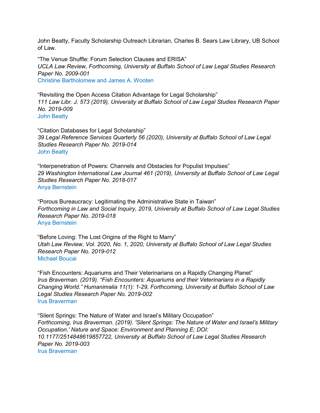of Law. John Beatty, Faculty Scholarship Outreach Librarian, Charles B. Sears Law Library, UB School

"The Venue Shuffle: Forum Selection Clauses and ERISA" *UCLA Law Review, Forthcoming, University at Buffalo School of Law Legal Studies Research Paper No. 2009-001*  Christine Bartholomew and James A. Wooten

"Revisiting the Open Access Citation Advantage for Legal Scholarship" *111 Law Libr. J. 573 (2019), University at Buffalo School of Law Legal Studies Research Paper No. 2019-009*  John Beatty

 *Studies Research Paper No. 2019-014*  "Citation Databases for Legal Scholarship" *39 Legal Reference Services Quarterly 56 (2020), University at Buffalo School of Law Legal*  John Beatty

 "Interpenetration of Powers: Channels and Obstacles for Populist Impulses" *29 Washington International Law Journal 461 (2019), University at Buffalo School of Law Legal Studies Research Paper No. 2018-017*  Anya Bernstein

"Porous Bureaucracy: Legitimating the Administrative State in Taiwan" *Forthcoming in Law and Social Inquiry, 2019, University at Buffalo School of Law Legal Studies Research Paper No. 2019-018*  Anya Bernstein

 *Utah Law Review, Vol. 2020, No. 1, 2020, University at Buffalo School of Law Legal Studies*  "Before Loving: The Lost Origins of the Right to Marry" *Research Paper No. 2019-012*  Michael Boucai

 *Irus Braverman. (2019). "Fish Encounters: Aquariums and their Veterinarians in a Rapidly Changing World." Humanimalia 11(1): 1-29, Forthcoming, University at Buffalo School of Law*  "Fish Encounters: Aquariums and Their Veterinarians on a Rapidly Changing Planet" *Legal Studies Research Paper No. 2019-002*  Irus Braverman

"Silent Springs: The Nature of Water and Israel's Military Occupation" *Forthcoming, Irus Braverman. (2019). 'Silent Springs: The Nature of Water and Israel's Military Occupation.' Nature and Space: Environment and Planning E; DOI: 10.1177/2514848619857722, University at Buffalo School of Law Legal Studies Research Paper No. 2019-003*  Irus Braverman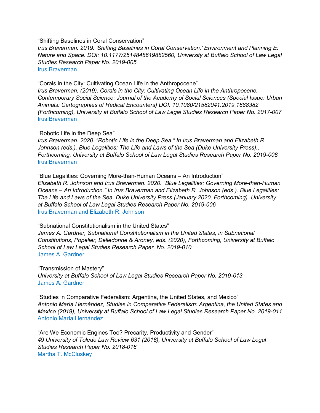"Shifting Baselines in Coral Conservation"

 *Studies Research Paper No. 2019-005 Irus Braverman. 2019. 'Shifting Baselines in Coral Conservation.' Environment and Planning E: Nature and Space. DOI: 10.1177/2514848619882560, University at Buffalo School of Law Legal*  Irus Braverman

"Corals in the City: Cultivating Ocean Life in the Anthropocene"

 *Irus Braverman. (2019). Corals in the City: Cultivating Ocean Life in the Anthropocene. Contemporary Social Science: Journal of the Academy of Social Sciences (Special Issue: Urban Animals: Cartographies of Radical Encounters) DOI: 10.1080/21582041.2019.1688382 (Forthcoming), University at Buffalo School of Law Legal Studies Research Paper No. 2017-007*  Irus Braverman

"Robotic Life in the Deep Sea"

*Irus Braverman. 2020. "Robotic Life in the Deep Sea." In Irus Braverman and Elizabeth R. Johnson (eds.). Blue Legalities: The Life and Laws of the Sea (Duke University Press)., Forthcoming, University at Buffalo School of Law Legal Studies Research Paper No. 2019-008*  Irus Braverman

 *The Life and Laws of the Sea. Duke University Press (January 2020, Forthcoming). University*  "Blue Legalities: Governing More-than-Human Oceans – An Introduction" *Elizabeth R. Johnson and Irus Braverman. 2020. "Blue Legalities: Governing More-than-Human Oceans – An Introduction." In Irus Braverman and Elizabeth R. Johnson (eds.). Blue Legalities: at Buffalo School of Law Legal Studies Research Paper No. 2019-006*  Irus Braverman and Elizabeth R. Johnson

 *Constitutions, Popelier, Delledonne & Aroney, eds. (2020), Forthcoming, University at Buffalo*  "Subnational Constitutionalism in the United States" James A. Gardner, Subnational Constitutionalism in the United States, in Subnational *School of Law Legal Studies Research Paper, No. 2019-010*  James A. Gardner

"Transmission of Mastery" *University at Buffalo School of Law Legal Studies Research Paper No. 2019-013*  James A. Gardner

"Studies in Comparative Federalism: Argentina, the United States, and Mexico" *Antonio María Hernández, Studies in Comparative Federalism: Argentina, the United States and Mexico (2019), University at Buffalo School of Law Legal Studies Research Paper No. 2019-011*  Antonio María Hernández

 *49 University of Toledo Law Review 631 (2018), University at Buffalo School of Law Legal Studies Research Paper No. 2018-016*  "Are We Economic Engines Too? Precarity, Productivity and Gender" Martha T. McCluskey